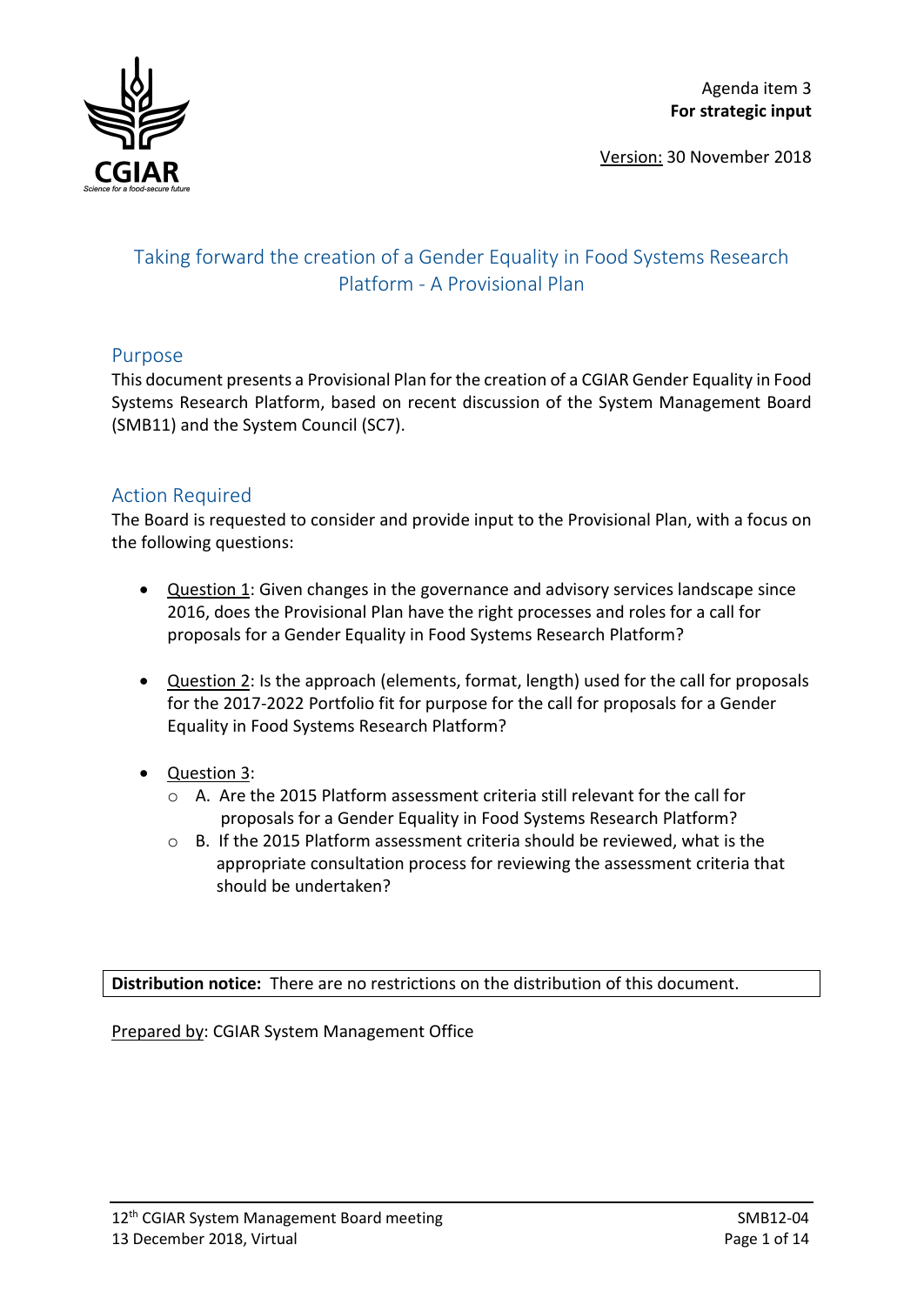

Version: 30 November 2018

# Taking forward the creation of a Gender Equality in Food Systems Research Platform - A Provisional Plan

## Purpose

This document presents a Provisional Plan for the creation of a CGIAR Gender Equality in Food Systems Research Platform, based on recent discussion of the System Management Board (SMB11) and the System Council (SC7).

## Action Required

The Board is requested to consider and provide input to the Provisional Plan, with a focus on the following questions:

- Question 1: Given changes in the governance and advisory services landscape since 2016, does the Provisional Plan have the right processes and roles for a call for proposals for a Gender Equality in Food Systems Research Platform?
- Question 2: Is the approach (elements, format, length) used for the call for proposals for the 2017-2022 Portfolio fit for purpose for the call for proposals for a Gender Equality in Food Systems Research Platform?
- **Question 3:** 
	- o A. Are the 2015 Platform assessment criteria still relevant for the call for proposals for a Gender Equality in Food Systems Research Platform?
	- o B. If the 2015 Platform assessment criteria should be reviewed, what is the appropriate consultation process for reviewing the assessment criteria that should be undertaken?

**Distribution notice:** There are no restrictions on the distribution of this document.

Prepared by: CGIAR System Management Office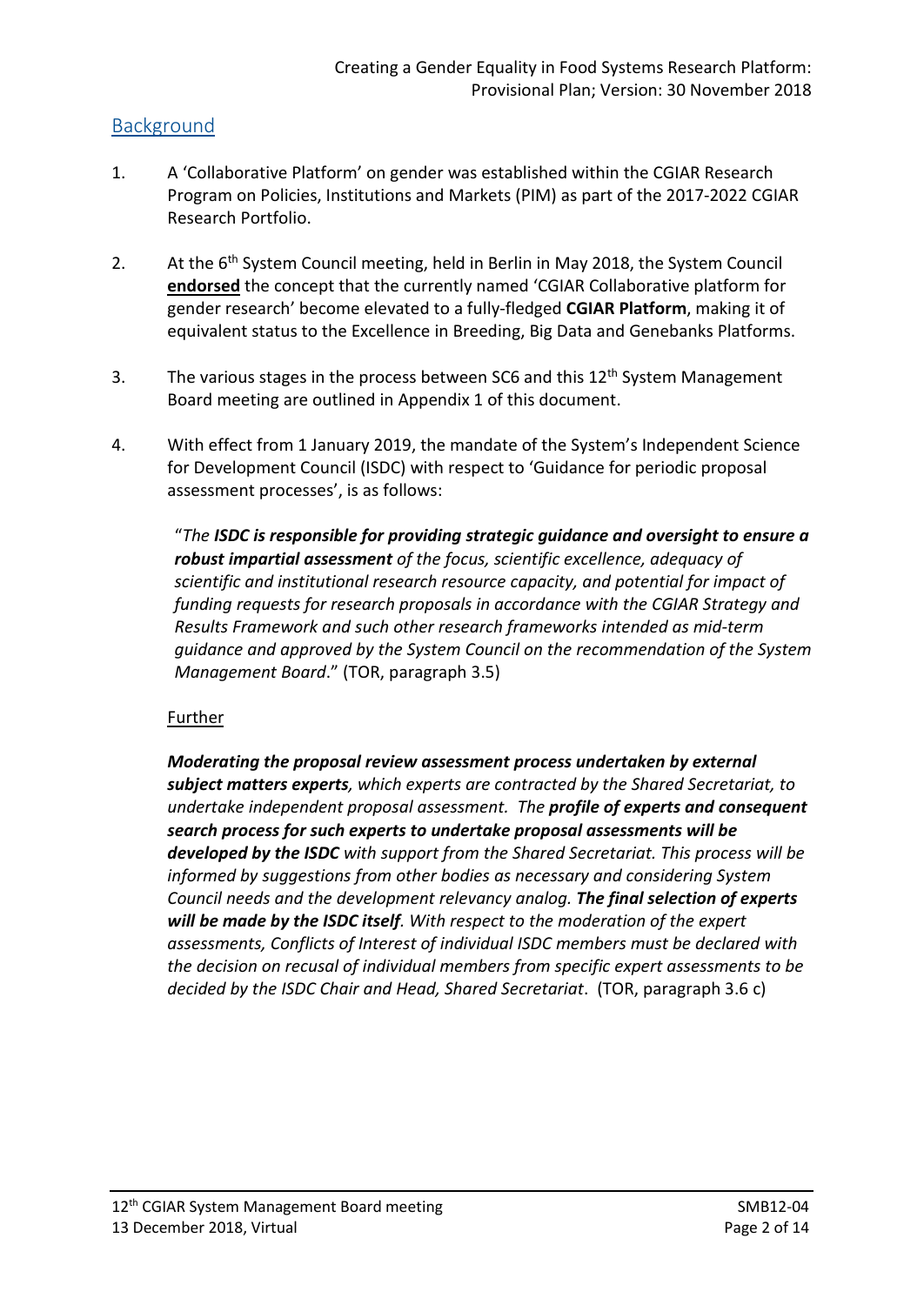## Background

- 1. A 'Collaborative Platform' on gender was established within the CGIAR Research Program on Policies, Institutions and Markets (PIM) as part of the 2017-2022 CGIAR Research Portfolio.
- 2. At the 6<sup>th</sup> System Council meeting, held in Berlin in May 2018, the System Council **endorsed** the concept that the currently named 'CGIAR Collaborative platform for gender research' become elevated to a fully-fledged **CGIAR Platform**, making it of equivalent status to the Excellence in Breeding, Big Data and Genebanks Platforms.
- 3. The various stages in the process between SC6 and this 12<sup>th</sup> System Management Board meeting are outlined in Appendix 1 of this document.
- 4. With effect from 1 January 2019, the mandate of the System's Independent Science for Development Council (ISDC) with respect to 'Guidance for periodic proposal assessment processes', is as follows:

"*The ISDC is responsible for providing strategic guidance and oversight to ensure a robust impartial assessment of the focus, scientific excellence, adequacy of scientific and institutional research resource capacity, and potential for impact of funding requests for research proposals in accordance with the CGIAR Strategy and Results Framework and such other research frameworks intended as mid-term guidance and approved by the System Council on the recommendation of the System Management Board*." (TOR, paragraph 3.5)

### **Further**

*Moderating the proposal review assessment process undertaken by external subject matters experts, which experts are contracted by the Shared Secretariat, to undertake independent proposal assessment. The profile of experts and consequent search process for such experts to undertake proposal assessments will be developed by the ISDC with support from the Shared Secretariat. This process will be informed by suggestions from other bodies as necessary and considering System Council needs and the development relevancy analog. The final selection of experts will be made by the ISDC itself. With respect to the moderation of the expert assessments, Conflicts of Interest of individual ISDC members must be declared with the decision on recusal of individual members from specific expert assessments to be decided by the ISDC Chair and Head, Shared Secretariat*. (TOR, paragraph 3.6 c)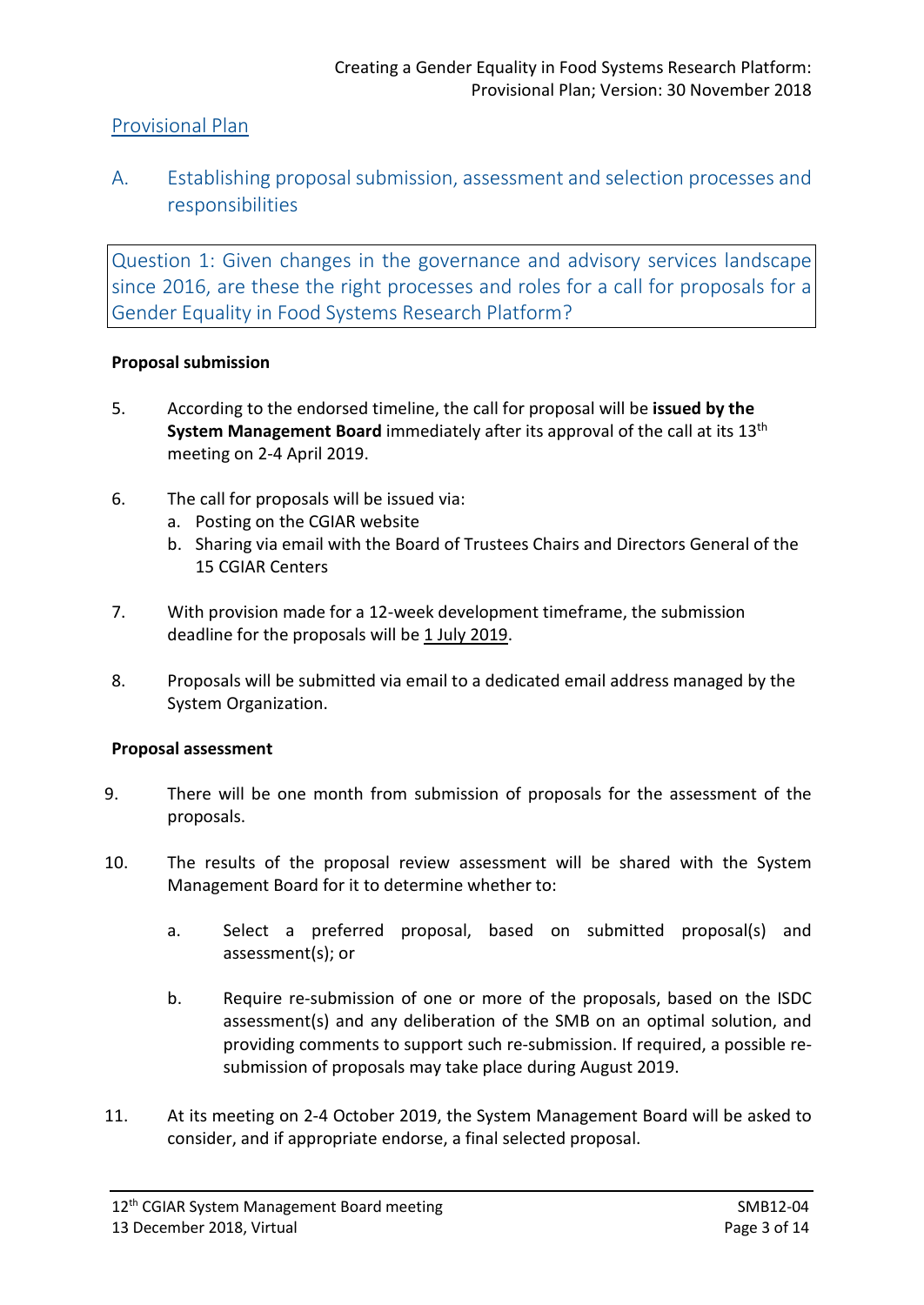## Provisional Plan

A. Establishing proposal submission, assessment and selection processes and responsibilities

Question 1: Given changes in the governance and advisory services landscape since 2016, are these the right processes and roles for a call for proposals for a Gender Equality in Food Systems Research Platform?

#### **Proposal submission**

- 5. According to the endorsed timeline, the call for proposal will be **issued by the System Management Board** immediately after its approval of the call at its 13th meeting on 2-4 April 2019.
- 6. The call for proposals will be issued via:
	- a. Posting on the CGIAR website
	- b. Sharing via email with the Board of Trustees Chairs and Directors General of the 15 CGIAR Centers
- 7. With provision made for a 12-week development timeframe, the submission deadline for the proposals will be 1 July 2019.
- 8. Proposals will be submitted via email to a dedicated email address managed by the System Organization.

#### **Proposal assessment**

- 9. There will be one month from submission of proposals for the assessment of the proposals.
- 10. The results of the proposal review assessment will be shared with the System Management Board for it to determine whether to:
	- a. Select a preferred proposal, based on submitted proposal(s) and assessment(s); or
	- b. Require re-submission of one or more of the proposals, based on the ISDC assessment(s) and any deliberation of the SMB on an optimal solution, and providing comments to support such re-submission. If required, a possible resubmission of proposals may take place during August 2019.
- 11. At its meeting on 2-4 October 2019, the System Management Board will be asked to consider, and if appropriate endorse, a final selected proposal.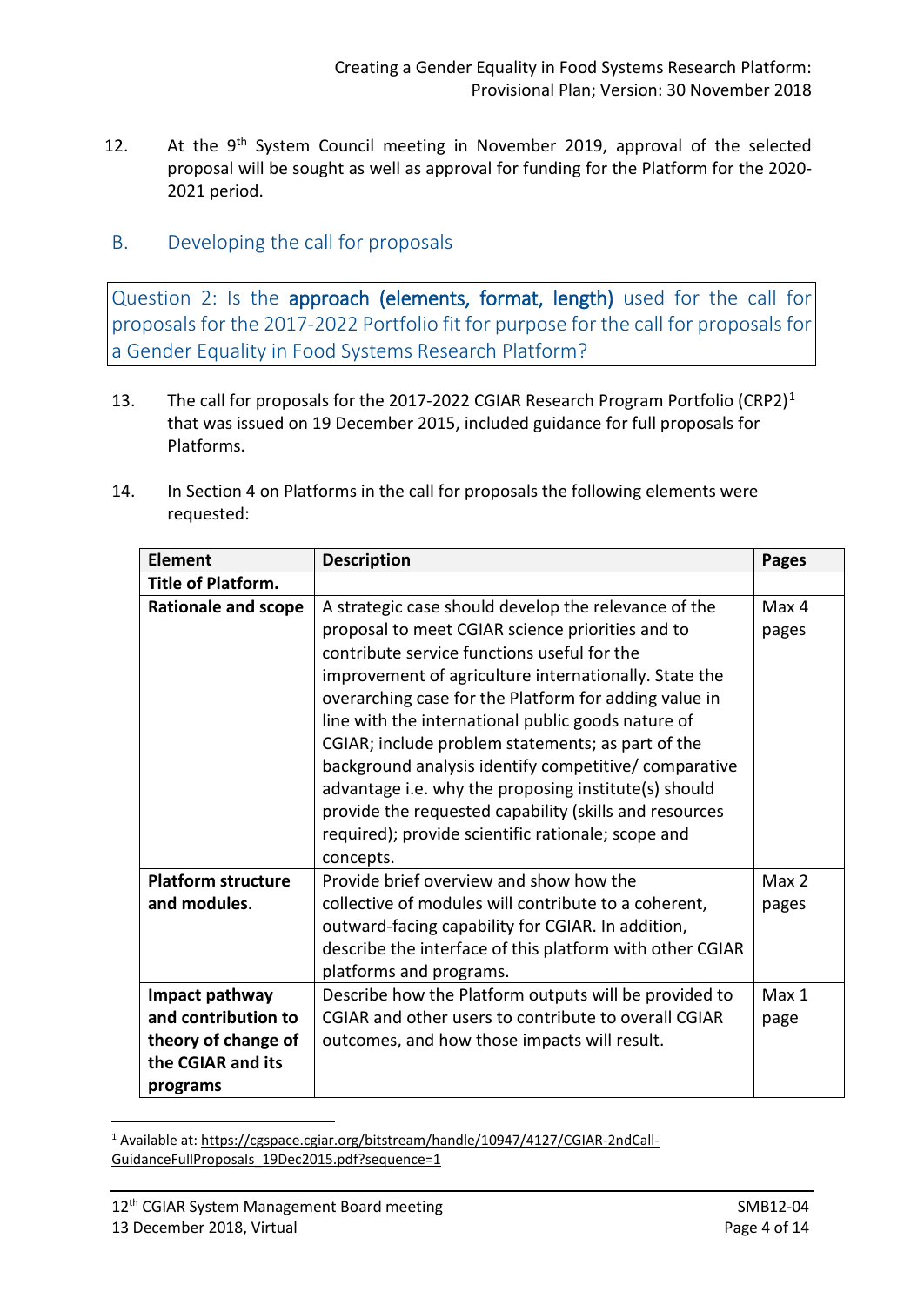- 12. At the  $9<sup>th</sup>$  System Council meeting in November 2019, approval of the selected proposal will be sought as well as approval for funding for the Platform for the 2020- 2021 period.
- B. Developing the call for proposals

Question 2: Is the approach (elements, format, length) used for the call for proposals for the 2017-2022 Portfolio fit for purpose for the call for proposals for a Gender Equality in Food Systems Research Platform?

- [1](#page-3-0)3. The call for proposals for the 2017-2022 CGIAR Research Program Portfolio (CRP2)<sup>1</sup> that was issued on 19 December 2015, included guidance for full proposals for Platforms.
- 14. In Section 4 on Platforms in the call for proposals the following elements were requested:

| <b>Element</b>                                                                                | <b>Description</b>                                                                                                                                                                                                                                                                                                                                                                                                                                                                                                                                                                                                                 | <b>Pages</b>   |
|-----------------------------------------------------------------------------------------------|------------------------------------------------------------------------------------------------------------------------------------------------------------------------------------------------------------------------------------------------------------------------------------------------------------------------------------------------------------------------------------------------------------------------------------------------------------------------------------------------------------------------------------------------------------------------------------------------------------------------------------|----------------|
| <b>Title of Platform.</b>                                                                     |                                                                                                                                                                                                                                                                                                                                                                                                                                                                                                                                                                                                                                    |                |
| <b>Rationale and scope</b>                                                                    | A strategic case should develop the relevance of the<br>proposal to meet CGIAR science priorities and to<br>contribute service functions useful for the<br>improvement of agriculture internationally. State the<br>overarching case for the Platform for adding value in<br>line with the international public goods nature of<br>CGIAR; include problem statements; as part of the<br>background analysis identify competitive/ comparative<br>advantage i.e. why the proposing institute(s) should<br>provide the requested capability (skills and resources<br>required); provide scientific rationale; scope and<br>concepts. | Max 4<br>pages |
| <b>Platform structure</b><br>and modules.                                                     | Provide brief overview and show how the<br>collective of modules will contribute to a coherent,<br>outward-facing capability for CGIAR. In addition,<br>describe the interface of this platform with other CGIAR<br>platforms and programs.                                                                                                                                                                                                                                                                                                                                                                                        | Max 2<br>pages |
| Impact pathway<br>and contribution to<br>theory of change of<br>the CGIAR and its<br>programs | Describe how the Platform outputs will be provided to<br>CGIAR and other users to contribute to overall CGIAR<br>outcomes, and how those impacts will result.                                                                                                                                                                                                                                                                                                                                                                                                                                                                      | Max 1<br>page  |

<span id="page-3-0"></span><sup>1</sup> Available at: [https://cgspace.cgiar.org/bitstream/handle/10947/4127/CGIAR-2ndCall-](https://cgspace.cgiar.org/bitstream/handle/10947/4127/CGIAR-2ndCall-GuidanceFullProposals_19Dec2015.pdf?sequence=1)[GuidanceFullProposals\\_19Dec2015.pdf?sequence=1](https://cgspace.cgiar.org/bitstream/handle/10947/4127/CGIAR-2ndCall-GuidanceFullProposals_19Dec2015.pdf?sequence=1)

<u>.</u>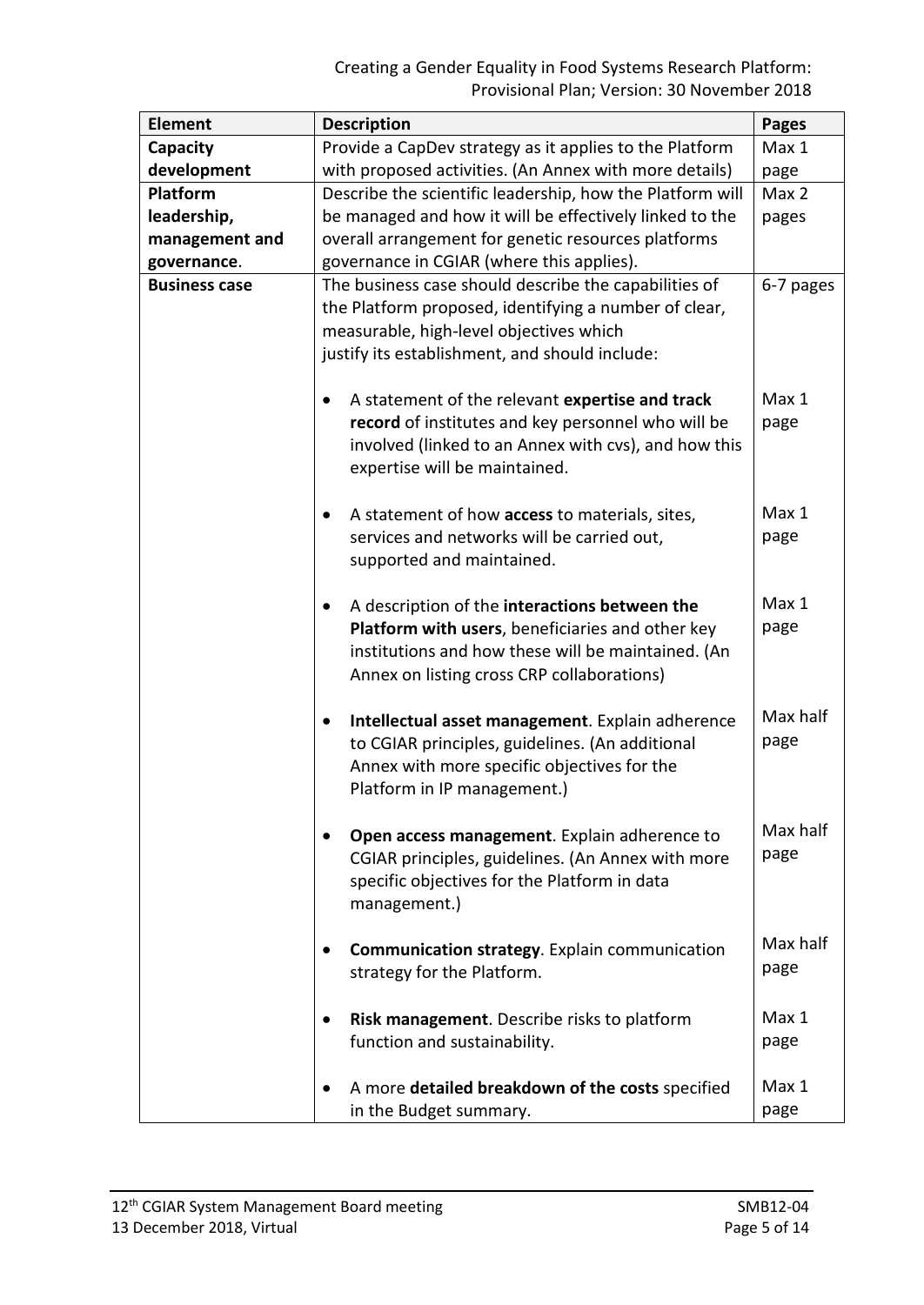| <b>Element</b>       | <b>Description</b>                                                                                                                                                                                                 | <b>Pages</b>     |
|----------------------|--------------------------------------------------------------------------------------------------------------------------------------------------------------------------------------------------------------------|------------------|
| Capacity             | Provide a CapDev strategy as it applies to the Platform                                                                                                                                                            | Max 1            |
| development          | with proposed activities. (An Annex with more details)                                                                                                                                                             | page             |
| Platform             | Describe the scientific leadership, how the Platform will                                                                                                                                                          | Max 2            |
| leadership,          | be managed and how it will be effectively linked to the                                                                                                                                                            | pages            |
| management and       | overall arrangement for genetic resources platforms                                                                                                                                                                |                  |
| governance.          | governance in CGIAR (where this applies).                                                                                                                                                                          |                  |
| <b>Business case</b> | The business case should describe the capabilities of<br>the Platform proposed, identifying a number of clear,<br>measurable, high-level objectives which<br>justify its establishment, and should include:        | 6-7 pages        |
|                      | A statement of the relevant expertise and track<br>٠<br>record of institutes and key personnel who will be<br>involved (linked to an Annex with cvs), and how this<br>expertise will be maintained.                | Max 1<br>page    |
|                      | A statement of how access to materials, sites,<br>services and networks will be carried out,<br>supported and maintained.                                                                                          | Max 1<br>page    |
|                      | A description of the interactions between the<br>$\bullet$<br>Platform with users, beneficiaries and other key<br>institutions and how these will be maintained. (An<br>Annex on listing cross CRP collaborations) | Max 1<br>page    |
|                      | Intellectual asset management. Explain adherence<br>to CGIAR principles, guidelines. (An additional<br>Annex with more specific objectives for the<br>Platform in IP management.)                                  | Max half<br>page |
|                      | Open access management. Explain adherence to<br>CGIAR principles, guidelines. (An Annex with more<br>specific objectives for the Platform in data<br>management.)                                                  | Max half<br>page |
|                      | <b>Communication strategy.</b> Explain communication<br>$\bullet$<br>strategy for the Platform.                                                                                                                    | Max half<br>page |
|                      | Risk management. Describe risks to platform<br>function and sustainability.                                                                                                                                        | Max 1<br>page    |
|                      | A more detailed breakdown of the costs specified<br>in the Budget summary.                                                                                                                                         | Max 1<br>page    |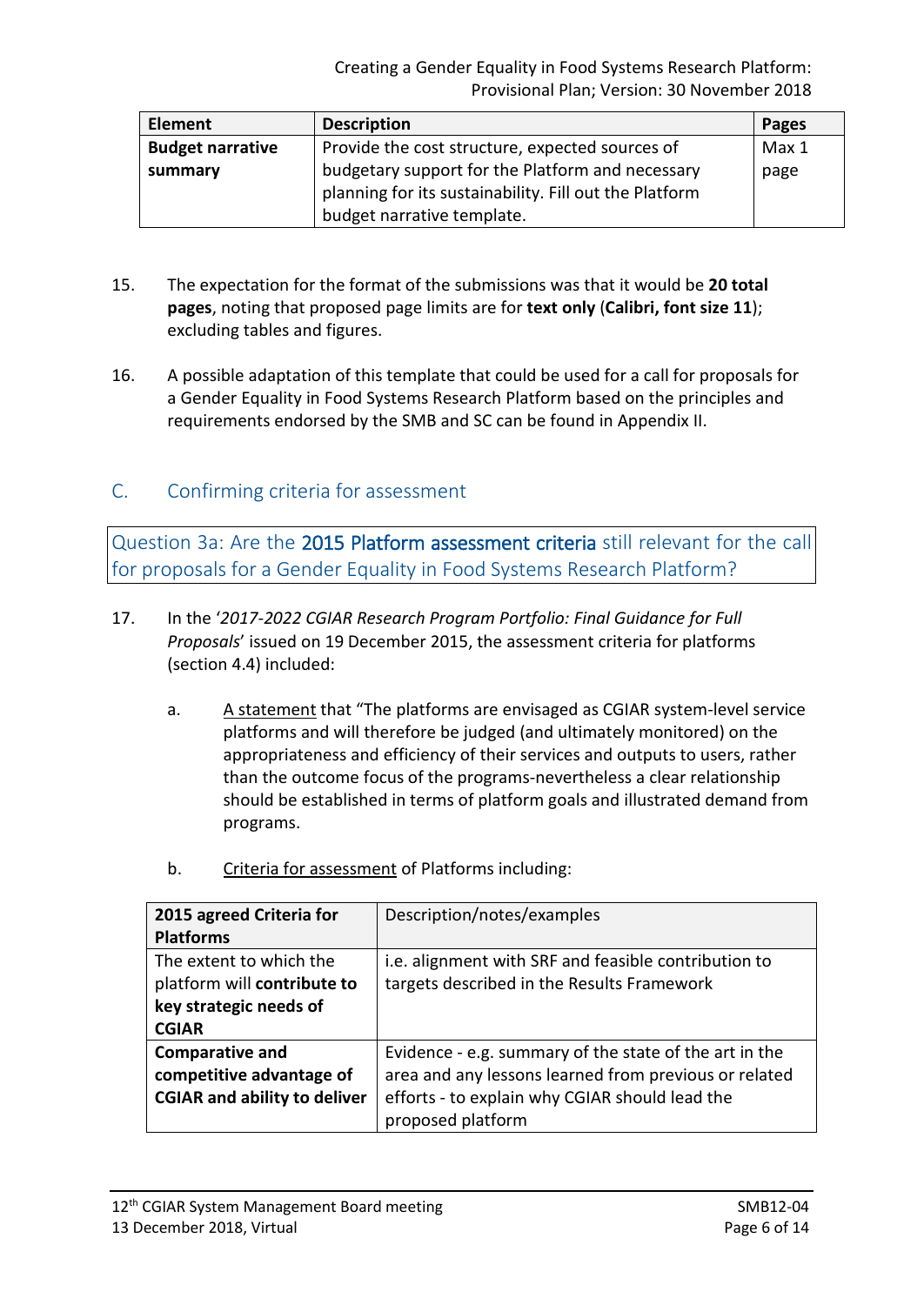| <b>Element</b>          | <b>Description</b>                                     | <b>Pages</b> |
|-------------------------|--------------------------------------------------------|--------------|
| <b>Budget narrative</b> | Provide the cost structure, expected sources of        | Max 1        |
| summary                 | budgetary support for the Platform and necessary       | page         |
|                         | planning for its sustainability. Fill out the Platform |              |
|                         | budget narrative template.                             |              |

- 15. The expectation for the format of the submissions was that it would be **20 total pages**, noting that proposed page limits are for **text only** (**Calibri, font size 11**); excluding tables and figures.
- 16. A possible adaptation of this template that could be used for a call for proposals for a Gender Equality in Food Systems Research Platform based on the principles and requirements endorsed by the SMB and SC can be found in Appendix II.

## C. Confirming criteria for assessment

Question 3a: Are the 2015 Platform assessment criteria still relevant for the call for proposals for a Gender Equality in Food Systems Research Platform?

- 17. In the '*2017-2022 CGIAR Research Program Portfolio: Final Guidance for Full Proposals*' issued on 19 December 2015, the assessment criteria for platforms (section 4.4) included:
	- a. A statement that "The platforms are envisaged as CGIAR system-level service platforms and will therefore be judged (and ultimately monitored) on the appropriateness and efficiency of their services and outputs to users, rather than the outcome focus of the programs-nevertheless a clear relationship should be established in terms of platform goals and illustrated demand from programs.
	-

b. Criteria for assessment of Platforms including:

| 2015 agreed Criteria for            | Description/notes/examples                             |
|-------------------------------------|--------------------------------------------------------|
| <b>Platforms</b>                    |                                                        |
| The extent to which the             | i.e. alignment with SRF and feasible contribution to   |
| platform will contribute to         | targets described in the Results Framework             |
| key strategic needs of              |                                                        |
| <b>CGIAR</b>                        |                                                        |
| <b>Comparative and</b>              | Evidence - e.g. summary of the state of the art in the |
| competitive advantage of            | area and any lessons learned from previous or related  |
| <b>CGIAR and ability to deliver</b> | efforts - to explain why CGIAR should lead the         |
|                                     | proposed platform                                      |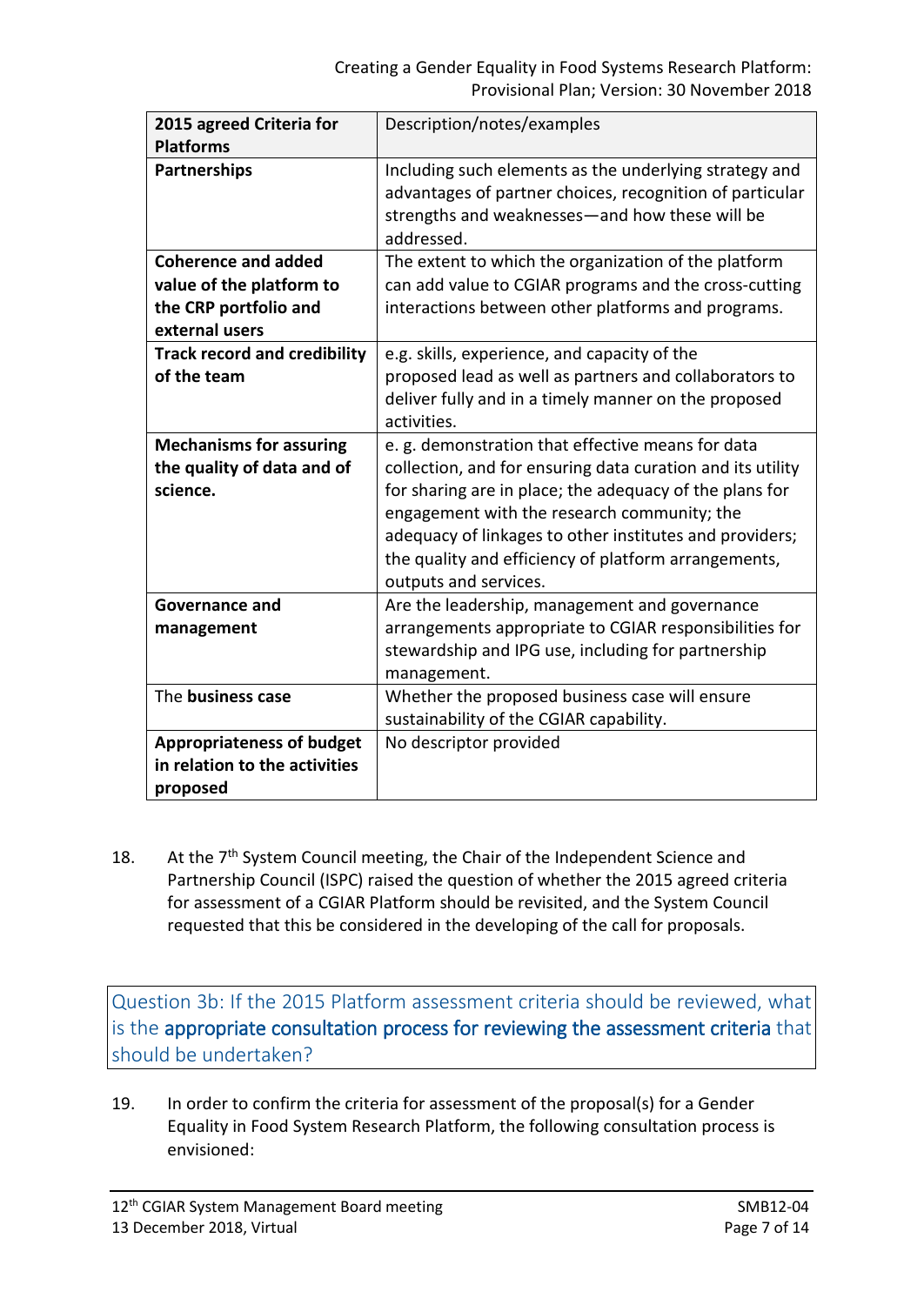| 2015 agreed Criteria for            | Description/notes/examples                                 |
|-------------------------------------|------------------------------------------------------------|
| <b>Platforms</b>                    |                                                            |
| <b>Partnerships</b>                 | Including such elements as the underlying strategy and     |
|                                     | advantages of partner choices, recognition of particular   |
|                                     | strengths and weaknesses—and how these will be             |
|                                     | addressed.                                                 |
| <b>Coherence and added</b>          | The extent to which the organization of the platform       |
| value of the platform to            | can add value to CGIAR programs and the cross-cutting      |
| the CRP portfolio and               | interactions between other platforms and programs.         |
| external users                      |                                                            |
| <b>Track record and credibility</b> | e.g. skills, experience, and capacity of the               |
| of the team                         | proposed lead as well as partners and collaborators to     |
|                                     | deliver fully and in a timely manner on the proposed       |
|                                     | activities.                                                |
| <b>Mechanisms for assuring</b>      | e. g. demonstration that effective means for data          |
| the quality of data and of          | collection, and for ensuring data curation and its utility |
| science.                            | for sharing are in place; the adequacy of the plans for    |
|                                     | engagement with the research community; the                |
|                                     | adequacy of linkages to other institutes and providers;    |
|                                     | the quality and efficiency of platform arrangements,       |
|                                     | outputs and services.                                      |
| Governance and                      | Are the leadership, management and governance              |
| management                          | arrangements appropriate to CGIAR responsibilities for     |
|                                     | stewardship and IPG use, including for partnership         |
|                                     | management.                                                |
| The business case                   | Whether the proposed business case will ensure             |
|                                     | sustainability of the CGIAR capability.                    |
| <b>Appropriateness of budget</b>    | No descriptor provided                                     |
| in relation to the activities       |                                                            |
| proposed                            |                                                            |

18. At the  $7<sup>th</sup>$  System Council meeting, the Chair of the Independent Science and Partnership Council (ISPC) raised the question of whether the 2015 agreed criteria for assessment of a CGIAR Platform should be revisited, and the System Council requested that this be considered in the developing of the call for proposals.

Question 3b: If the 2015 Platform assessment criteria should be reviewed, what is the appropriate consultation process for reviewing the assessment criteria that should be undertaken?

19. In order to confirm the criteria for assessment of the proposal(s) for a Gender Equality in Food System Research Platform, the following consultation process is envisioned: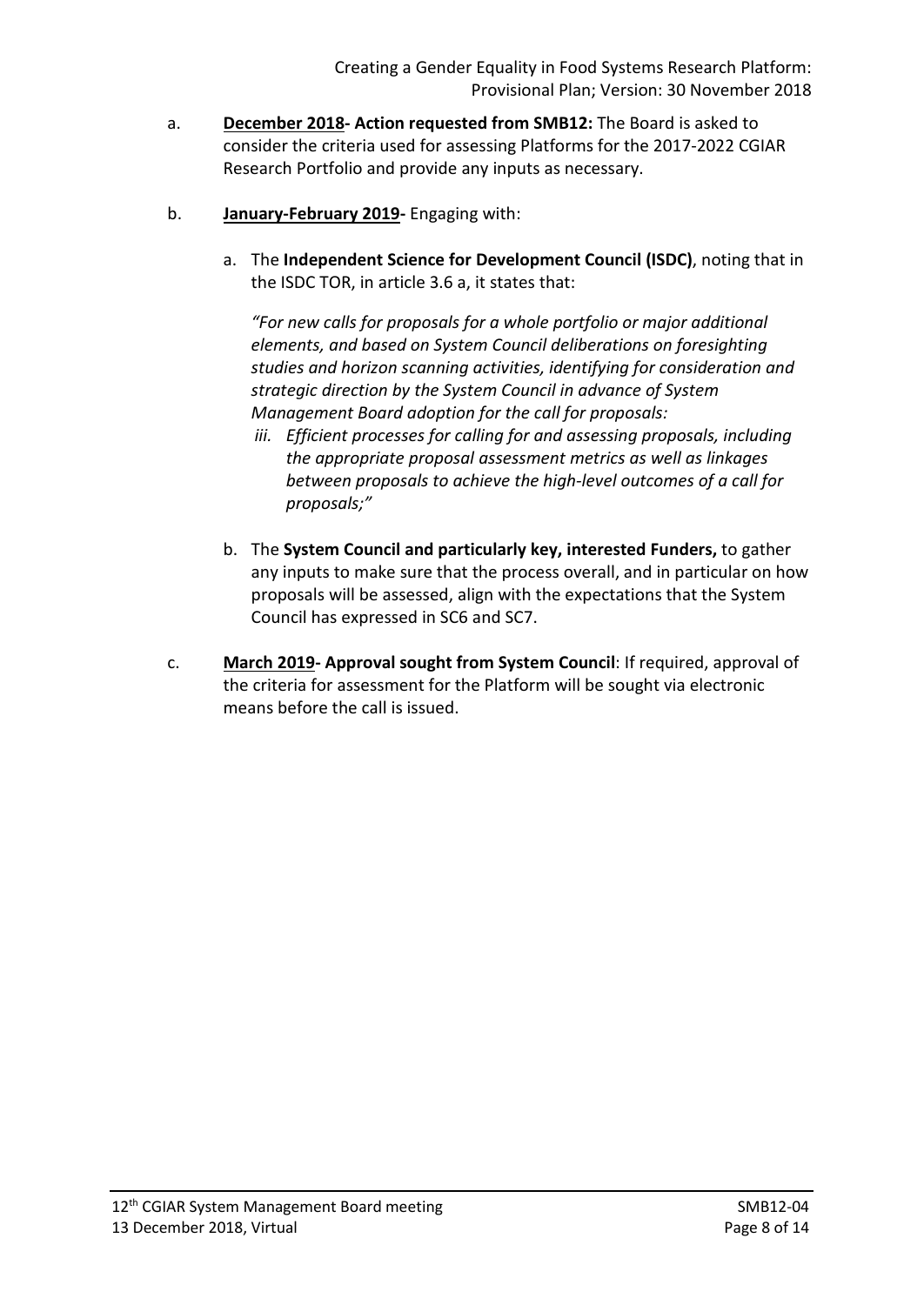- a. **December 2018- Action requested from SMB12:** The Board is asked to consider the criteria used for assessing Platforms for the 2017-2022 CGIAR Research Portfolio and provide any inputs as necessary.
- b. **January-February 2019-** Engaging with:
	- a. The **Independent Science for Development Council (ISDC)**, noting that in the ISDC TOR, in article 3.6 a, it states that:

*"For new calls for proposals for a whole portfolio or major additional elements, and based on System Council deliberations on foresighting studies and horizon scanning activities, identifying for consideration and strategic direction by the System Council in advance of System Management Board adoption for the call for proposals:*

- *iii. Efficient processes for calling for and assessing proposals, including the appropriate proposal assessment metrics as well as linkages between proposals to achieve the high-level outcomes of a call for proposals;"*
- b. The **System Council and particularly key, interested Funders,** to gather any inputs to make sure that the process overall, and in particular on how proposals will be assessed, align with the expectations that the System Council has expressed in SC6 and SC7.
- c. **March 2019- Approval sought from System Council**: If required, approval of the criteria for assessment for the Platform will be sought via electronic means before the call is issued.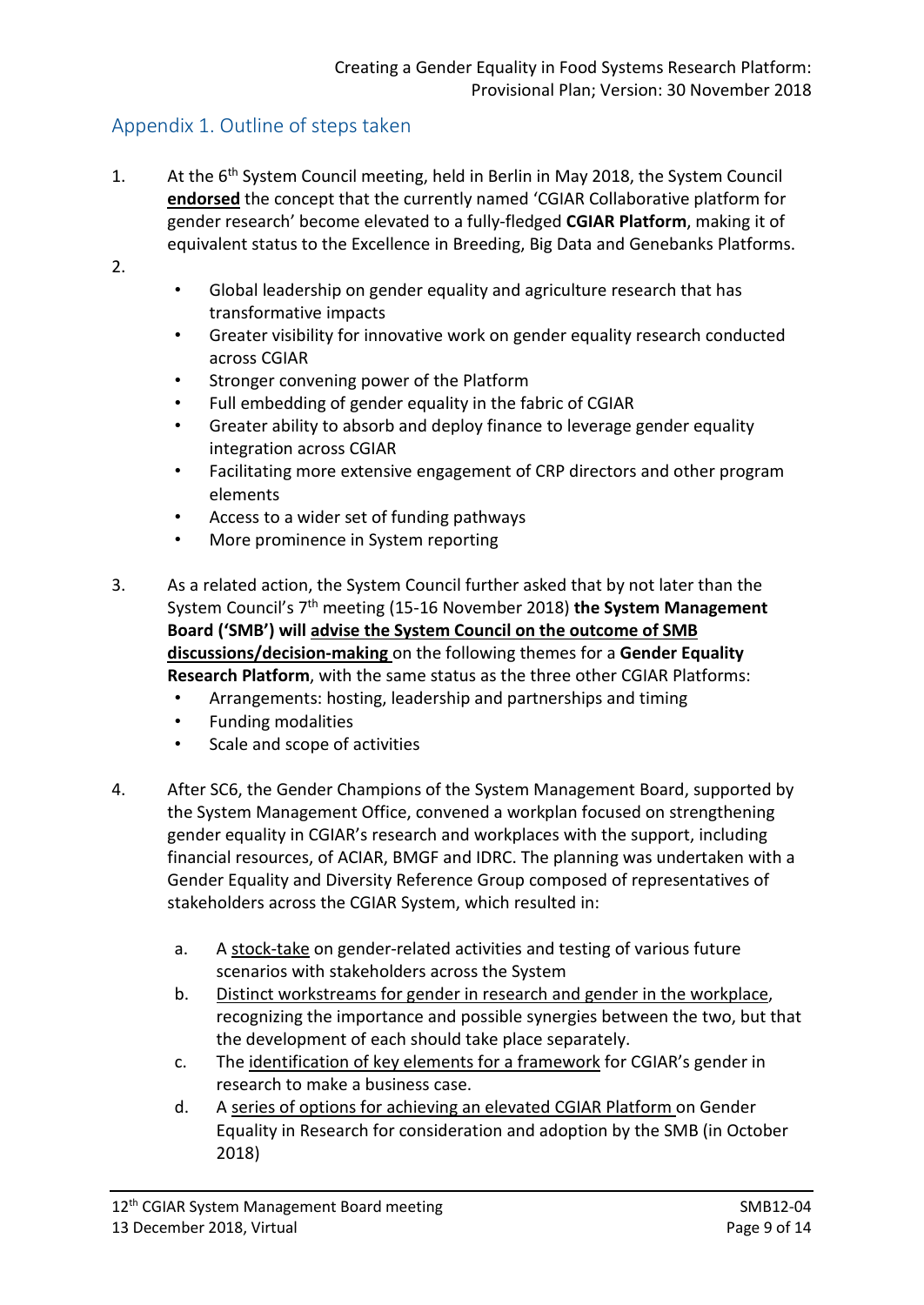# Appendix 1. Outline of steps taken

- 1. At the 6<sup>th</sup> System Council meeting, held in Berlin in May 2018, the System Council **endorsed** the concept that the currently named 'CGIAR Collaborative platform for gender research' become elevated to a fully-fledged **CGIAR Platform**, making it of equivalent status to the Excellence in Breeding, Big Data and Genebanks Platforms.
- 2.
- Global leadership on gender equality and agriculture research that has transformative impacts
- Greater visibility for innovative work on gender equality research conducted across CGIAR
- Stronger convening power of the Platform
- Full embedding of gender equality in the fabric of CGIAR
- Greater ability to absorb and deploy finance to leverage gender equality integration across CGIAR
- Facilitating more extensive engagement of CRP directors and other program elements
- Access to a wider set of funding pathways
- More prominence in System reporting
- 3. As a related action, the System Council further asked that by not later than the System Council's 7th meeting (15-16 November 2018) **the System Management Board ('SMB') will advise the System Council on the outcome of SMB discussions/decision-making** on the following themes for a **Gender Equality Research Platform**, with the same status as the three other CGIAR Platforms:
	- Arrangements: hosting, leadership and partnerships and timing
	- Funding modalities
	- Scale and scope of activities
- 4. After SC6, the Gender Champions of the System Management Board, supported by the System Management Office, convened a workplan focused on strengthening gender equality in CGIAR's research and workplaces with the support, including financial resources, of ACIAR, BMGF and IDRC. The planning was undertaken with a Gender Equality and Diversity Reference Group composed of representatives of stakeholders across the CGIAR System, which resulted in:
	- a. A stock-take on gender-related activities and testing of various future scenarios with stakeholders across the System
	- b. Distinct workstreams for gender in research and gender in the workplace, recognizing the importance and possible synergies between the two, but that the development of each should take place separately.
	- c. The identification of key elements for a framework for CGIAR's gender in research to make a business case.
	- d. A series of options for achieving an elevated CGIAR Platform on Gender Equality in Research for consideration and adoption by the SMB (in October 2018)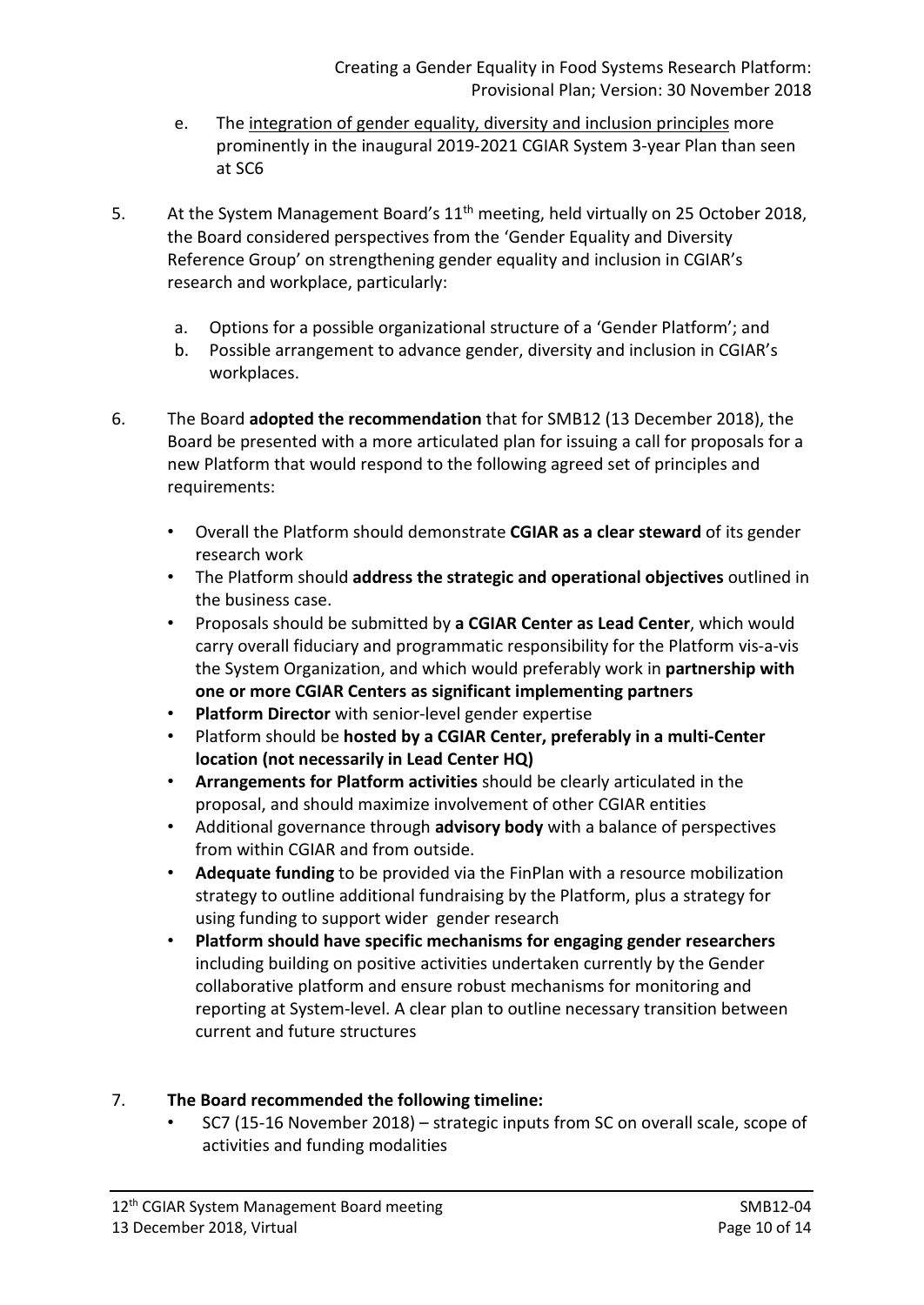- e. The integration of gender equality, diversity and inclusion principles more prominently in the inaugural 2019-2021 CGIAR System 3-year Plan than seen at SC6
- 5. At the System Management Board's 11<sup>th</sup> meeting, held virtually on 25 October 2018. the Board considered perspectives from the 'Gender Equality and Diversity Reference Group' on strengthening gender equality and inclusion in CGIAR's research and workplace, particularly:
	- a. Options for a possible organizational structure of a 'Gender Platform'; and
	- b. Possible arrangement to advance gender, diversity and inclusion in CGIAR's workplaces.
- 6. The Board **adopted the recommendation** that for SMB12 (13 December 2018), the Board be presented with a more articulated plan for issuing a call for proposals for a new Platform that would respond to the following agreed set of principles and requirements:
	- Overall the Platform should demonstrate **CGIAR as a clear steward** of its gender research work
	- The Platform should **address the strategic and operational objectives** outlined in the business case.
	- Proposals should be submitted by **a CGIAR Center as Lead Center**, which would carry overall fiduciary and programmatic responsibility for the Platform vis-a-vis the System Organization, and which would preferably work in **partnership with one or more CGIAR Centers as significant implementing partners**
	- **Platform Director** with senior-level gender expertise
	- Platform should be **hosted by a CGIAR Center, preferably in a multi-Center location (not necessarily in Lead Center HQ)**
	- **Arrangements for Platform activities** should be clearly articulated in the proposal, and should maximize involvement of other CGIAR entities
	- Additional governance through **advisory body** with a balance of perspectives from within CGIAR and from outside.
	- **Adequate funding** to be provided via the FinPlan with a resource mobilization strategy to outline additional fundraising by the Platform, plus a strategy for using funding to support wider gender research
	- **Platform should have specific mechanisms for engaging gender researchers** including building on positive activities undertaken currently by the Gender collaborative platform and ensure robust mechanisms for monitoring and reporting at System-level. A clear plan to outline necessary transition between current and future structures

## 7. **The Board recommended the following timeline:**

• SC7 (15-16 November 2018) – strategic inputs from SC on overall scale, scope of activities and funding modalities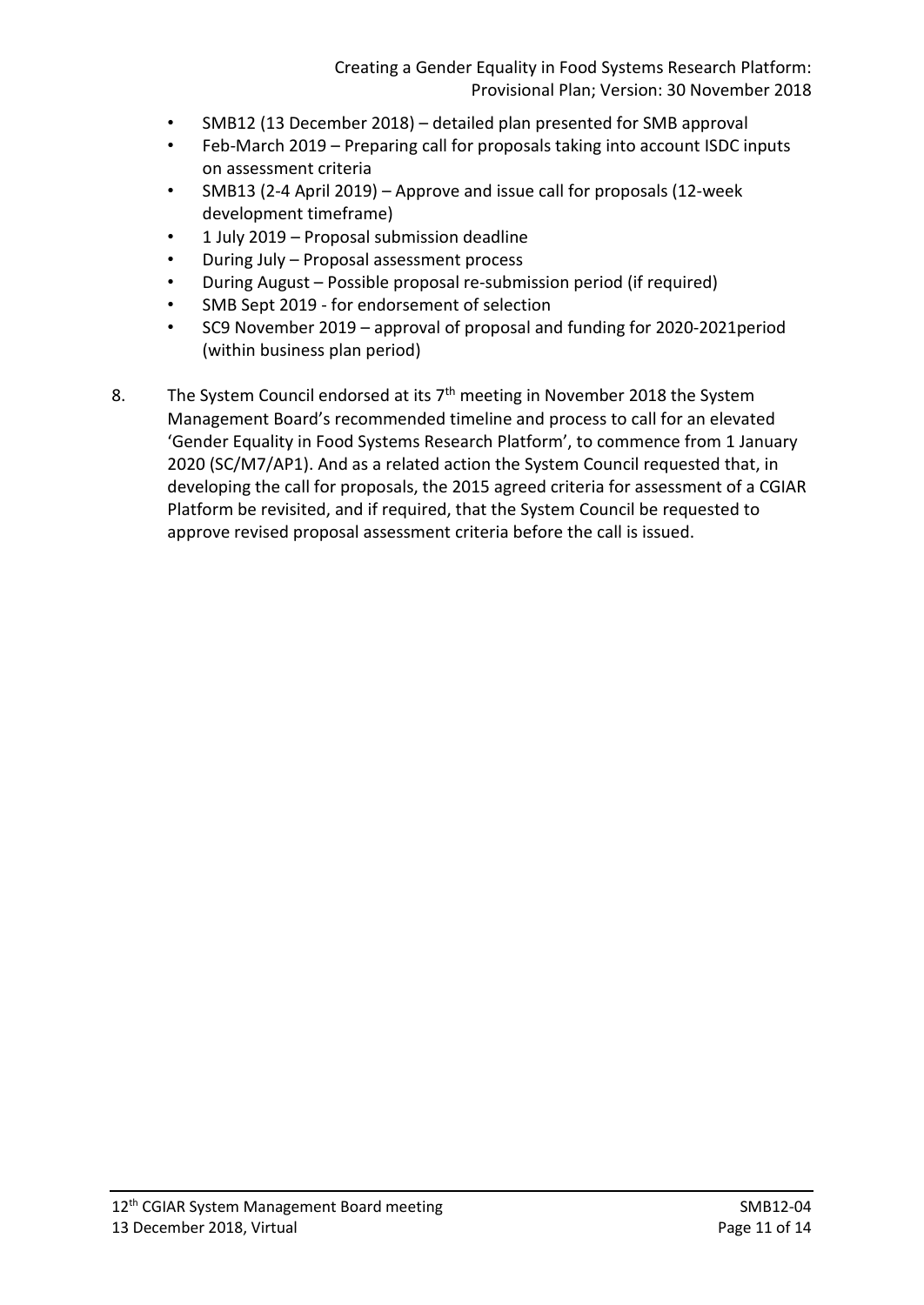- SMB12 (13 December 2018) detailed plan presented for SMB approval
- Feb-March 2019 Preparing call for proposals taking into account ISDC inputs on assessment criteria
- SMB13 (2-4 April 2019) Approve and issue call for proposals (12-week development timeframe)
- 1 July 2019 Proposal submission deadline
- During July Proposal assessment process
- During August Possible proposal re-submission period (if required)
- SMB Sept 2019 for endorsement of selection
- SC9 November 2019 approval of proposal and funding for 2020-2021period (within business plan period)
- 8. The System Council endorsed at its  $7<sup>th</sup>$  meeting in November 2018 the System Management Board's recommended timeline and process to call for an elevated 'Gender Equality in Food Systems Research Platform', to commence from 1 January 2020 (SC/M7/AP1). And as a related action the System Council requested that, in developing the call for proposals, the 2015 agreed criteria for assessment of a CGIAR Platform be revisited, and if required, that the System Council be requested to approve revised proposal assessment criteria before the call is issued.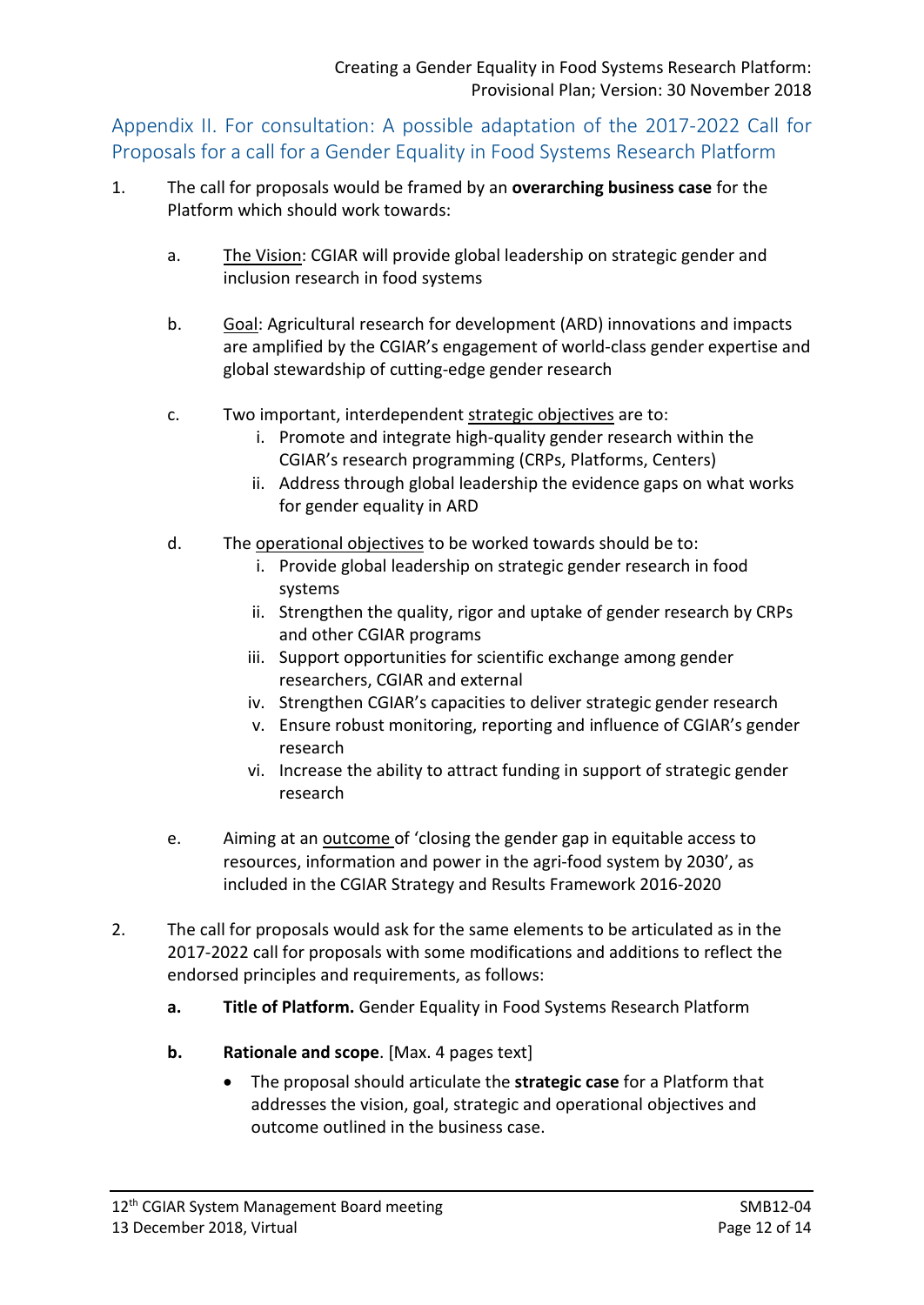Appendix II. For consultation: A possible adaptation of the 2017-2022 Call for Proposals for a call for a Gender Equality in Food Systems Research Platform

- 1. The call for proposals would be framed by an **overarching business case** for the Platform which should work towards:
	- a. The Vision: CGIAR will provide global leadership on strategic gender and inclusion research in food systems
	- b. Goal: Agricultural research for development (ARD) innovations and impacts are amplified by the CGIAR's engagement of world-class gender expertise and global stewardship of cutting-edge gender research
	- c. Two important, interdependent strategic objectives are to:
		- i. Promote and integrate high-quality gender research within the CGIAR's research programming (CRPs, Platforms, Centers)
		- ii. Address through global leadership the evidence gaps on what works for gender equality in ARD
	- d. The operational objectives to be worked towards should be to:
		- i. Provide global leadership on strategic gender research in food systems
		- ii. Strengthen the quality, rigor and uptake of gender research by CRPs and other CGIAR programs
		- iii. Support opportunities for scientific exchange among gender researchers, CGIAR and external
		- iv. Strengthen CGIAR's capacities to deliver strategic gender research
		- v. Ensure robust monitoring, reporting and influence of CGIAR's gender research
		- vi. Increase the ability to attract funding in support of strategic gender research
	- e. Aiming at an outcome of 'closing the gender gap in equitable access to resources, information and power in the agri-food system by 2030', as included in the CGIAR Strategy and Results Framework 2016-2020
- 2. The call for proposals would ask for the same elements to be articulated as in the 2017-2022 call for proposals with some modifications and additions to reflect the endorsed principles and requirements, as follows:
	- **a. Title of Platform.** Gender Equality in Food Systems Research Platform
	- **b. Rationale and scope**. [Max. 4 pages text]
		- The proposal should articulate the **strategic case** for a Platform that addresses the vision, goal, strategic and operational objectives and outcome outlined in the business case.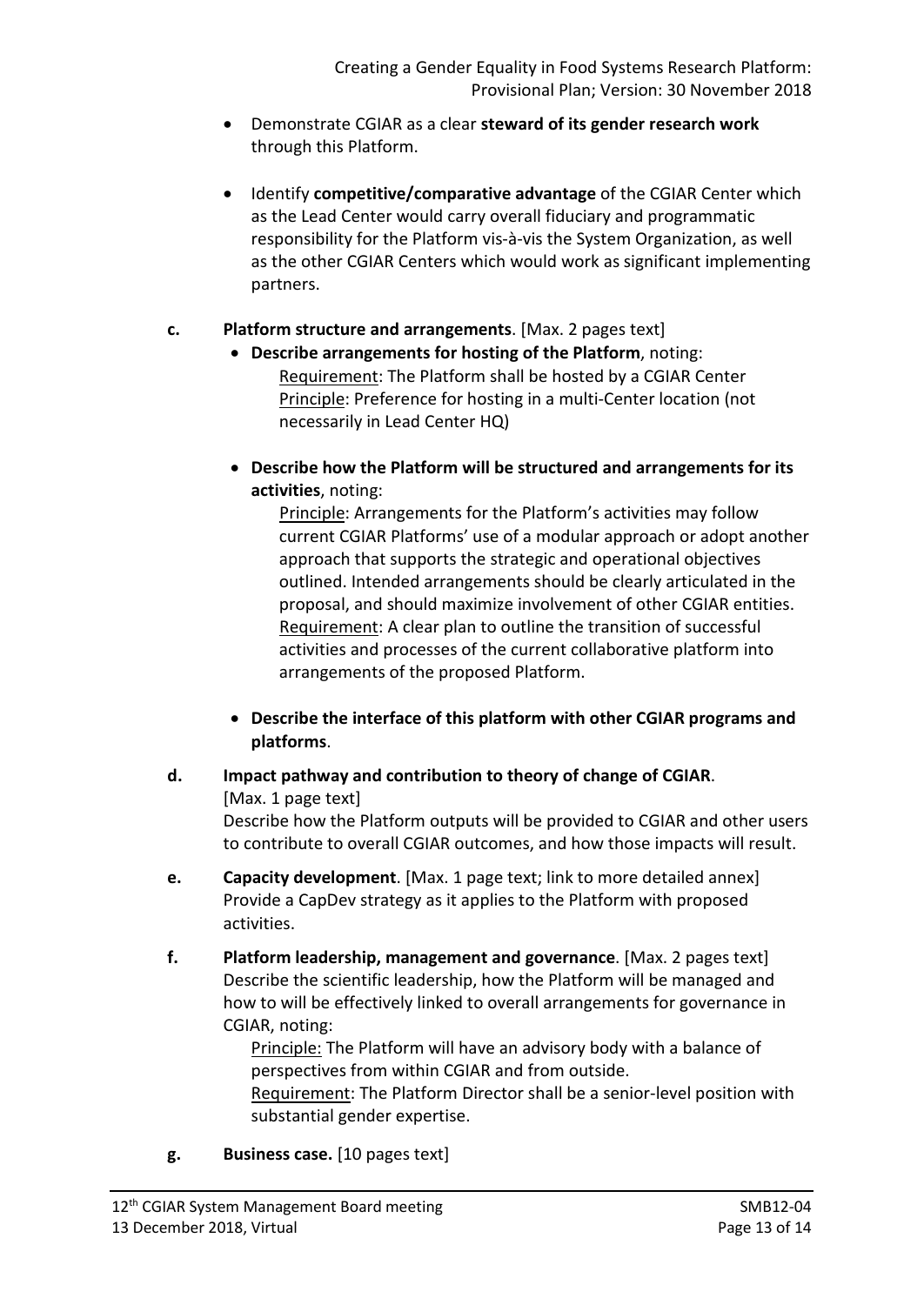- Demonstrate CGIAR as a clear **steward of its gender research work** through this Platform.
- Identify **competitive/comparative advantage** of the CGIAR Center which as the Lead Center would carry overall fiduciary and programmatic responsibility for the Platform vis-à-vis the System Organization, as well as the other CGIAR Centers which would work as significant implementing partners.

## **c. Platform structure and arrangements**. [Max. 2 pages text]

- **Describe arrangements for hosting of the Platform**, noting: Requirement: The Platform shall be hosted by a CGIAR Center Principle: Preference for hosting in a multi-Center location (not necessarily in Lead Center HQ)
- **Describe how the Platform will be structured and arrangements for its activities**, noting:

 Principle: Arrangements for the Platform's activities may follow current CGIAR Platforms' use of a modular approach or adopt another approach that supports the strategic and operational objectives outlined. Intended arrangements should be clearly articulated in the proposal, and should maximize involvement of other CGIAR entities. Requirement: A clear plan to outline the transition of successful activities and processes of the current collaborative platform into arrangements of the proposed Platform.

• **Describe the interface of this platform with other CGIAR programs and platforms**.

## **d. Impact pathway and contribution to theory of change of CGIAR**.

[Max. 1 page text]

Describe how the Platform outputs will be provided to CGIAR and other users to contribute to overall CGIAR outcomes, and how those impacts will result.

- **e. Capacity development**. [Max. 1 page text; link to more detailed annex] Provide a CapDev strategy as it applies to the Platform with proposed activities.
- **f. Platform leadership, management and governance**. [Max. 2 pages text] Describe the scientific leadership, how the Platform will be managed and how to will be effectively linked to overall arrangements for governance in CGIAR, noting:

Principle: The Platform will have an advisory body with a balance of perspectives from within CGIAR and from outside.

Requirement: The Platform Director shall be a senior-level position with substantial gender expertise.

**g. Business case.** [10 pages text]